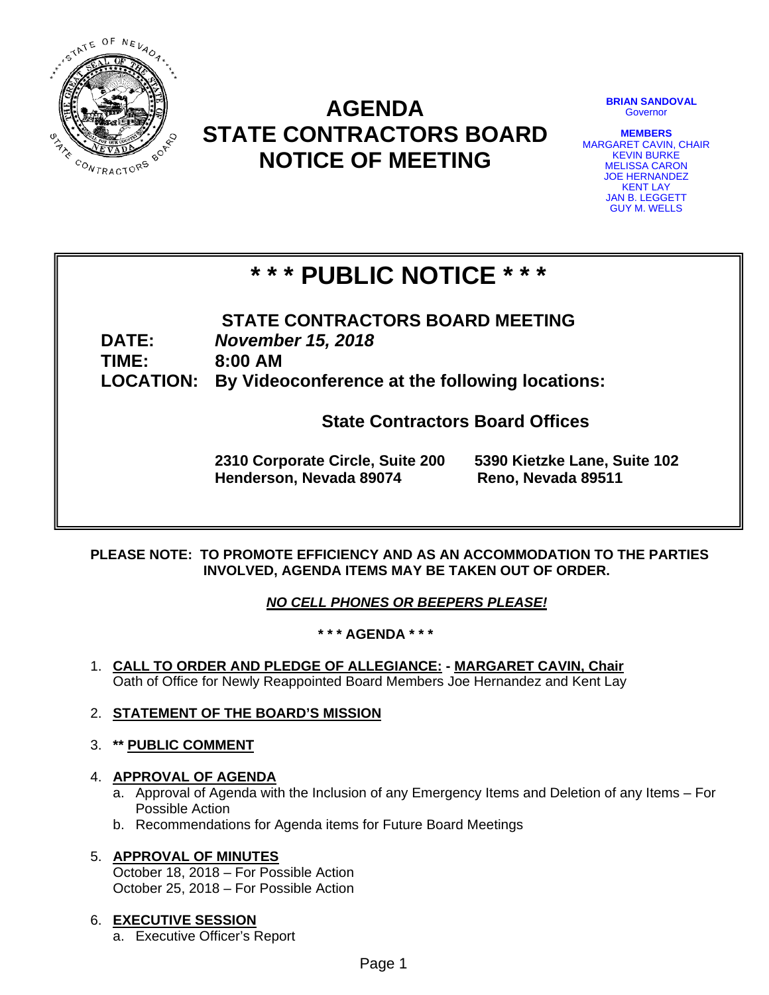

# **AGENDA STATE CONTRACTORS BOARD NOTICE OF MEETING**

**BRIAN SANDOVAL Governor** 

**MEMBERS**  MARGARET CAVIN, CHAIR KEVIN BURKE MELISSA CARON JOE HERNANDEZ KENT LAY JAN B. LEGGETT GUY M. WELLS

# **\* \* \* PUBLIC NOTICE \* \* \***

**STATE CONTRACTORS BOARD MEETING DATE:** *November 15, 2018*  **TIME: 8:00 AM LOCATION: By Videoconference at the following locations:** 

**State Contractors Board Offices** 

**2310 Corporate Circle, Suite 200 5390 Kietzke Lane, Suite 102 Henderson, Nevada 89074 Reno, Nevada 89511** 

# **PLEASE NOTE: TO PROMOTE EFFICIENCY AND AS AN ACCOMMODATION TO THE PARTIES INVOLVED, AGENDA ITEMS MAY BE TAKEN OUT OF ORDER.**

*NO CELL PHONES OR BEEPERS PLEASE!* 

# **\* \* \* AGENDA \* \* \***

- 1. **CALL TO ORDER AND PLEDGE OF ALLEGIANCE: MARGARET CAVIN, Chair** Oath of Office for Newly Reappointed Board Members Joe Hernandez and Kent Lay
- 2. **STATEMENT OF THE BOARD'S MISSION**
- 3. **\*\* PUBLIC COMMENT**

# 4. **APPROVAL OF AGENDA**

- a. Approval of Agenda with the Inclusion of any Emergency Items and Deletion of any Items For Possible Action
- b. Recommendations for Agenda items for Future Board Meetings

# 5. **APPROVAL OF MINUTES**

October 18, 2018 – For Possible Action October 25, 2018 – For Possible Action

# 6. **EXECUTIVE SESSION**

a. Executive Officer's Report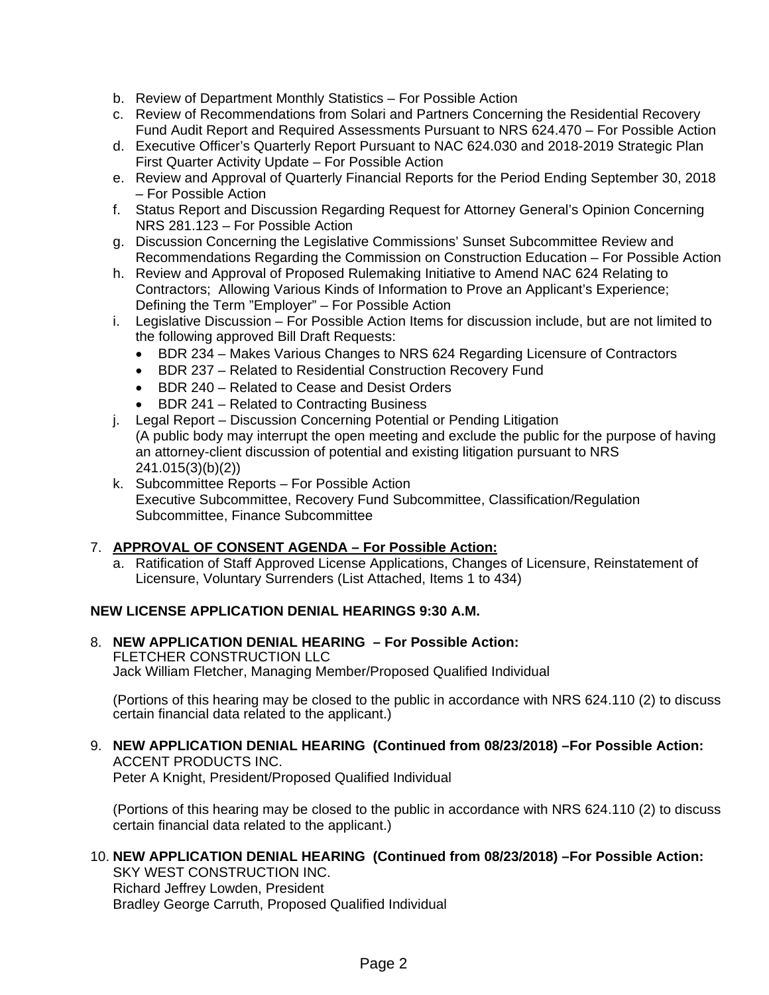- b. Review of Department Monthly Statistics For Possible Action
- c. Review of Recommendations from Solari and Partners Concerning the Residential Recovery Fund Audit Report and Required Assessments Pursuant to NRS 624.470 – For Possible Action
- d. Executive Officer's Quarterly Report Pursuant to NAC 624.030 and 2018-2019 Strategic Plan First Quarter Activity Update – For Possible Action
- e. Review and Approval of Quarterly Financial Reports for the Period Ending September 30, 2018 – For Possible Action
- f. Status Report and Discussion Regarding Request for Attorney General's Opinion Concerning NRS 281.123 – For Possible Action
- g. Discussion Concerning the Legislative Commissions' Sunset Subcommittee Review and Recommendations Regarding the Commission on Construction Education – For Possible Action
- h. Review and Approval of Proposed Rulemaking Initiative to Amend NAC 624 Relating to Contractors; Allowing Various Kinds of Information to Prove an Applicant's Experience; Defining the Term "Employer" – For Possible Action
- i. Legislative Discussion For Possible Action Items for discussion include, but are not limited to the following approved Bill Draft Requests:
	- BDR 234 Makes Various Changes to NRS 624 Regarding Licensure of Contractors
	- BDR 237 Related to Residential Construction Recovery Fund
	- BDR 240 Related to Cease and Desist Orders
	- BDR 241 Related to Contracting Business
- j. Legal Report Discussion Concerning Potential or Pending Litigation (A public body may interrupt the open meeting and exclude the public for the purpose of having an attorney-client discussion of potential and existing litigation pursuant to NRS 241.015(3)(b)(2))
- k. Subcommittee Reports For Possible Action Executive Subcommittee, Recovery Fund Subcommittee, Classification/Regulation Subcommittee, Finance Subcommittee

#### 7. **APPROVAL OF CONSENT AGENDA – For Possible Action:**

a. Ratification of Staff Approved License Applications, Changes of Licensure, Reinstatement of Licensure, Voluntary Surrenders (List Attached, Items 1 to 434)

#### **NEW LICENSE APPLICATION DENIAL HEARINGS 9:30 A.M.**

8. **NEW APPLICATION DENIAL HEARING – For Possible Action:** FLETCHER CONSTRUCTION LLC Jack William Fletcher, Managing Member/Proposed Qualified Individual

(Portions of this hearing may be closed to the public in accordance with NRS 624.110 (2) to discuss certain financial data related to the applicant.)

#### 9. **NEW APPLICATION DENIAL HEARING (Continued from 08/23/2018) –For Possible Action:**  ACCENT PRODUCTS INC.

Peter A Knight, President/Proposed Qualified Individual

(Portions of this hearing may be closed to the public in accordance with NRS 624.110 (2) to discuss certain financial data related to the applicant.)

#### 10. **NEW APPLICATION DENIAL HEARING (Continued from 08/23/2018) –For Possible Action:**

SKY WEST CONSTRUCTION INC. Richard Jeffrey Lowden, President Bradley George Carruth, Proposed Qualified Individual